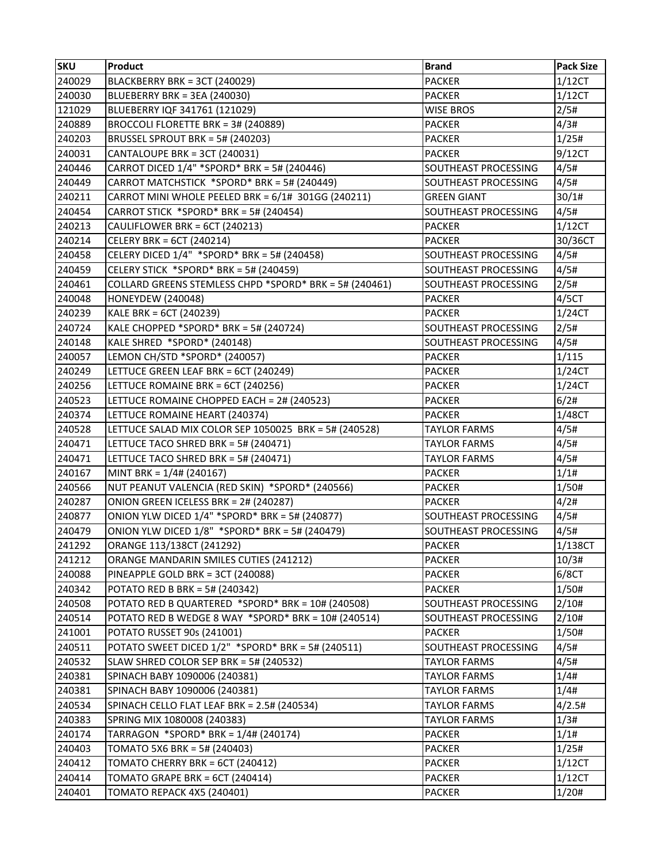| <b>SKU</b> | <b>Product</b>                                         | <b>Brand</b>                | <b>Pack Size</b> |
|------------|--------------------------------------------------------|-----------------------------|------------------|
| 240029     | BLACKBERRY BRK = 3CT (240029)                          | <b>PACKER</b>               | 1/12CT           |
| 240030     | BLUEBERRY BRK = 3EA (240030)                           | <b>PACKER</b>               | 1/12CT           |
| 121029     | BLUEBERRY IQF 341761 (121029)                          | <b>WISE BROS</b>            | 2/5#             |
| 240889     | BROCCOLI FLORETTE BRK = 3# (240889)                    | <b>PACKER</b>               | 4/3#             |
| 240203     | BRUSSEL SPROUT BRK = 5# (240203)                       | <b>PACKER</b>               | 1/25#            |
| 240031     | CANTALOUPE BRK = 3CT (240031)                          | <b>PACKER</b>               | 9/12CT           |
| 240446     | CARROT DICED 1/4" *SPORD* BRK = 5# (240446)            | SOUTHEAST PROCESSING        | 4/5#             |
| 240449     | CARROT MATCHSTICK *SPORD* BRK = 5# (240449)            | <b>SOUTHEAST PROCESSING</b> | 4/5#             |
| 240211     | CARROT MINI WHOLE PEELED BRK = 6/1# 301GG (240211)     | <b>GREEN GIANT</b>          | 30/1#            |
| 240454     | CARROT STICK *SPORD* BRK = 5# (240454)                 | SOUTHEAST PROCESSING        | 4/5#             |
| 240213     | CAULIFLOWER BRK = 6CT (240213)                         | <b>PACKER</b>               | 1/12CT           |
| 240214     | CELERY BRK = 6CT (240214)                              | <b>PACKER</b>               | 30/36CT          |
| 240458     | CELERY DICED 1/4" *SPORD* BRK = 5# (240458)            | <b>SOUTHEAST PROCESSING</b> | 4/5#             |
| 240459     | CELERY STICK *SPORD* BRK = 5# (240459)                 | SOUTHEAST PROCESSING        | 4/5#             |
| 240461     | COLLARD GREENS STEMLESS CHPD *SPORD* BRK = 5# (240461) | SOUTHEAST PROCESSING        | 2/5#             |
| 240048     | <b>HONEYDEW (240048)</b>                               | <b>PACKER</b>               | 4/5CT            |
| 240239     | KALE BRK = 6CT (240239)                                | <b>PACKER</b>               | 1/24CT           |
| 240724     | KALE CHOPPED *SPORD* BRK = 5# (240724)                 | SOUTHEAST PROCESSING        | 2/5#             |
| 240148     | KALE SHRED *SPORD* (240148)                            | SOUTHEAST PROCESSING        | 4/5#             |
| 240057     | LEMON CH/STD *SPORD* (240057)                          | <b>PACKER</b>               | 1/115            |
| 240249     | LETTUCE GREEN LEAF BRK = 6CT (240249)                  | <b>PACKER</b>               | 1/24CT           |
| 240256     | LETTUCE ROMAINE BRK = 6CT (240256)                     | <b>PACKER</b>               | 1/24CT           |
| 240523     | LETTUCE ROMAINE CHOPPED EACH = 2# (240523)             | <b>PACKER</b>               | 6/2#             |
| 240374     | LETTUCE ROMAINE HEART (240374)                         | <b>PACKER</b>               | 1/48CT           |
| 240528     | LETTUCE SALAD MIX COLOR SEP 1050025 BRK = 5# (240528)  | <b>TAYLOR FARMS</b>         | 4/5#             |
| 240471     | LETTUCE TACO SHRED BRK = 5# (240471)                   | <b>TAYLOR FARMS</b>         | 4/5#             |
| 240471     | LETTUCE TACO SHRED BRK = 5# (240471)                   | <b>TAYLOR FARMS</b>         | 4/5#             |
| 240167     | MINT BRK = $1/4$ # (240167)                            | <b>PACKER</b>               | 1/1#             |
| 240566     | NUT PEANUT VALENCIA (RED SKIN) *SPORD* (240566)        | <b>PACKER</b>               | 1/50#            |
| 240287     | ONION GREEN ICELESS BRK = 2# (240287)                  | <b>PACKER</b>               | 4/2#             |
| 240877     | ONION YLW DICED 1/4" *SPORD* BRK = 5# (240877)         | SOUTHEAST PROCESSING        | 4/5#             |
| 240479     | ONION YLW DICED 1/8" *SPORD* BRK = 5# (240479)         | SOUTHEAST PROCESSING        | 4/5#             |
| 241292     | ORANGE 113/138CT (241292)                              | <b>PACKER</b>               | 1/138CT          |
| 241212     | ORANGE MANDARIN SMILES CUTIES (241212)                 | <b>PACKER</b>               | 10/3#            |
| 240088     | PINEAPPLE GOLD BRK = 3CT (240088)                      | <b>PACKER</b>               | 6/8CT            |
| 240342     | POTATO RED B BRK = 5# (240342)                         | <b>PACKER</b>               | 1/50#            |
| 240508     | POTATO RED B QUARTERED *SPORD* BRK = 10# (240508)      | SOUTHEAST PROCESSING        | 2/10#            |
| 240514     | POTATO RED B WEDGE 8 WAY *SPORD* BRK = 10# (240514)    | SOUTHEAST PROCESSING        | 2/10#            |
| 241001     | POTATO RUSSET 90s (241001)                             | <b>PACKER</b>               | 1/50#            |
| 240511     | POTATO SWEET DICED 1/2" *SPORD* BRK = 5# (240511)      | SOUTHEAST PROCESSING        | 4/5#             |
| 240532     | SLAW SHRED COLOR SEP BRK = 5# (240532)                 | <b>TAYLOR FARMS</b>         | 4/5#             |
| 240381     | SPINACH BABY 1090006 (240381)                          | <b>TAYLOR FARMS</b>         | 1/4#             |
| 240381     | SPINACH BABY 1090006 (240381)                          | <b>TAYLOR FARMS</b>         | 1/4#             |
| 240534     | SPINACH CELLO FLAT LEAF BRK = 2.5# (240534)            | <b>TAYLOR FARMS</b>         | 4/2.5#           |
| 240383     | SPRING MIX 1080008 (240383)                            | <b>TAYLOR FARMS</b>         | 1/3#             |
| 240174     | TARRAGON *SPORD* BRK = 1/4# (240174)                   | <b>PACKER</b>               | 1/1#             |
| 240403     | TOMATO 5X6 BRK = 5# (240403)                           | <b>PACKER</b>               | 1/25#            |
| 240412     | TOMATO CHERRY BRK = 6CT (240412)                       | <b>PACKER</b>               | 1/12CT           |
| 240414     | TOMATO GRAPE BRK = 6CT (240414)                        | <b>PACKER</b>               | 1/12CT           |
| 240401     | TOMATO REPACK 4X5 (240401)                             | <b>PACKER</b>               | 1/20#            |
|            |                                                        |                             |                  |